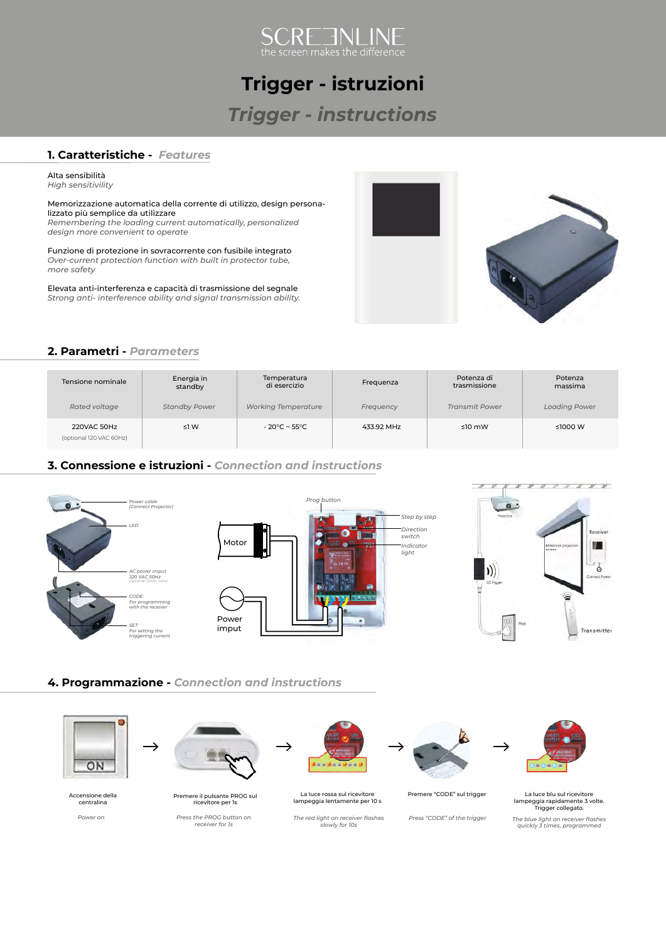

## **Trigger - istruzioni**

## *Trigger - instructions*

#### **1. Caratteristiche -** *Features*

Alta sensibilità *High sensitivility*

Memorizzazione automatica della corrente di utilizzo, design personalizzato più semplice da utilizzare *Remembering the loading current automatically, personalized design more convenient to operate*

Funzione di protezione in sovracorrente con fusibile integrato *Over-current protection function with built in protector tube, more safety* 

Elevata anti-interferenza e capacità di trasmissione del segnale *Strong anti- interference ability and signal transmission ability.*



#### **2. Parametri -** *Parameters*

| Tensione nominale                      | Energia in<br>standby | Temperatura<br>di esercizio | Frequenza  | Potenza di<br>trasmissione | Potenza<br>massima   |
|----------------------------------------|-----------------------|-----------------------------|------------|----------------------------|----------------------|
| Rated voltage                          | <b>Standby Power</b>  | <b>Working Temperature</b>  | Frequency  | <b>Transmit Power</b>      | <b>Loading Power</b> |
| 220VAC 50Hz<br>(optional 120 VAC 60Hz) | $\leq$ 1 W            | $-20^{\circ}$ C ~ 55°C      | 433.92 MHz | $\leq 10$ mW               | ≤1000 W              |

#### **3. Connessione e istruzioni -** *Connection and instructions*





#### **4. Programmazione -** *Connection and instructions*